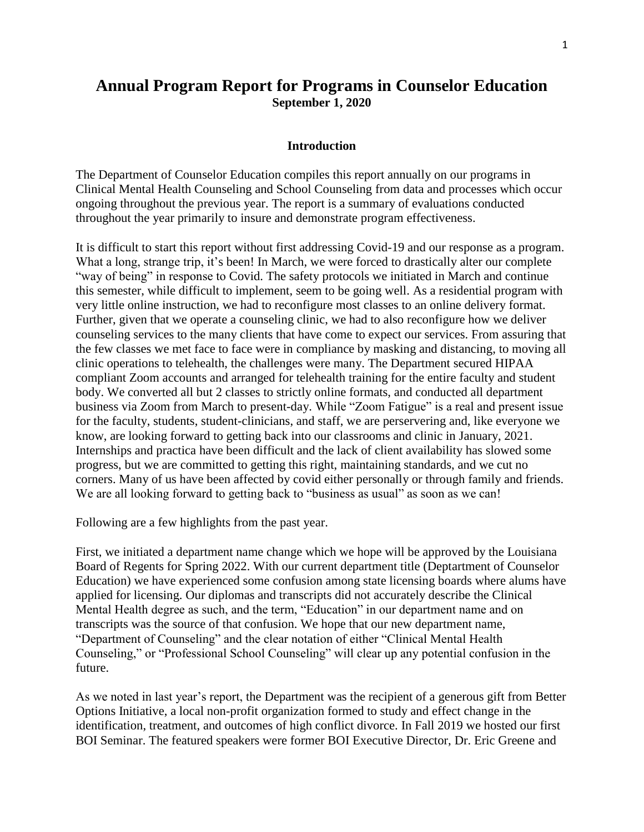# **Annual Program Report for Programs in Counselor Education September 1, 2020**

## **Introduction**

The Department of Counselor Education compiles this report annually on our programs in Clinical Mental Health Counseling and School Counseling from data and processes which occur ongoing throughout the previous year. The report is a summary of evaluations conducted throughout the year primarily to insure and demonstrate program effectiveness.

It is difficult to start this report without first addressing Covid-19 and our response as a program. What a long, strange trip, it's been! In March, we were forced to drastically alter our complete "way of being" in response to Covid. The safety protocols we initiated in March and continue this semester, while difficult to implement, seem to be going well. As a residential program with very little online instruction, we had to reconfigure most classes to an online delivery format. Further, given that we operate a counseling clinic, we had to also reconfigure how we deliver counseling services to the many clients that have come to expect our services. From assuring that the few classes we met face to face were in compliance by masking and distancing, to moving all clinic operations to telehealth, the challenges were many. The Department secured HIPAA compliant Zoom accounts and arranged for telehealth training for the entire faculty and student body. We converted all but 2 classes to strictly online formats, and conducted all department business via Zoom from March to present-day. While "Zoom Fatigue" is a real and present issue for the faculty, students, student-clinicians, and staff, we are perservering and, like everyone we know, are looking forward to getting back into our classrooms and clinic in January, 2021. Internships and practica have been difficult and the lack of client availability has slowed some progress, but we are committed to getting this right, maintaining standards, and we cut no corners. Many of us have been affected by covid either personally or through family and friends. We are all looking forward to getting back to "business as usual" as soon as we can!

Following are a few highlights from the past year.

First, we initiated a department name change which we hope will be approved by the Louisiana Board of Regents for Spring 2022. With our current department title (Deptartment of Counselor Education) we have experienced some confusion among state licensing boards where alums have applied for licensing. Our diplomas and transcripts did not accurately describe the Clinical Mental Health degree as such, and the term, "Education" in our department name and on transcripts was the source of that confusion. We hope that our new department name, "Department of Counseling" and the clear notation of either "Clinical Mental Health Counseling," or "Professional School Counseling" will clear up any potential confusion in the future.

As we noted in last year's report, the Department was the recipient of a generous gift from Better Options Initiative, a local non-profit organization formed to study and effect change in the identification, treatment, and outcomes of high conflict divorce. In Fall 2019 we hosted our first BOI Seminar. The featured speakers were former BOI Executive Director, Dr. Eric Greene and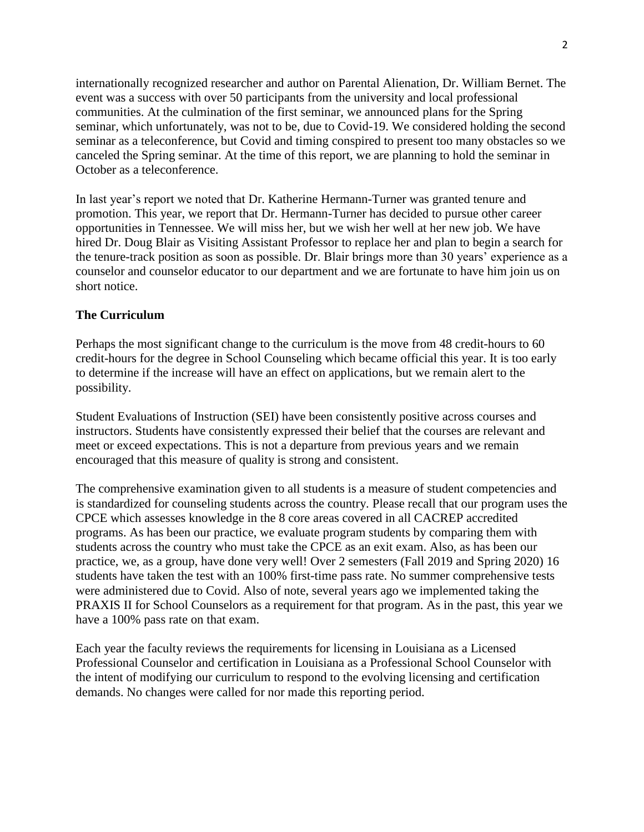internationally recognized researcher and author on Parental Alienation, Dr. William Bernet. The event was a success with over 50 participants from the university and local professional communities. At the culmination of the first seminar, we announced plans for the Spring seminar, which unfortunately, was not to be, due to Covid-19. We considered holding the second seminar as a teleconference, but Covid and timing conspired to present too many obstacles so we canceled the Spring seminar. At the time of this report, we are planning to hold the seminar in October as a teleconference.

In last year's report we noted that Dr. Katherine Hermann-Turner was granted tenure and promotion. This year, we report that Dr. Hermann-Turner has decided to pursue other career opportunities in Tennessee. We will miss her, but we wish her well at her new job. We have hired Dr. Doug Blair as Visiting Assistant Professor to replace her and plan to begin a search for the tenure-track position as soon as possible. Dr. Blair brings more than 30 years' experience as a counselor and counselor educator to our department and we are fortunate to have him join us on short notice.

# **The Curriculum**

Perhaps the most significant change to the curriculum is the move from 48 credit-hours to 60 credit-hours for the degree in School Counseling which became official this year. It is too early to determine if the increase will have an effect on applications, but we remain alert to the possibility.

Student Evaluations of Instruction (SEI) have been consistently positive across courses and instructors. Students have consistently expressed their belief that the courses are relevant and meet or exceed expectations. This is not a departure from previous years and we remain encouraged that this measure of quality is strong and consistent.

The comprehensive examination given to all students is a measure of student competencies and is standardized for counseling students across the country. Please recall that our program uses the CPCE which assesses knowledge in the 8 core areas covered in all CACREP accredited programs. As has been our practice, we evaluate program students by comparing them with students across the country who must take the CPCE as an exit exam. Also, as has been our practice, we, as a group, have done very well! Over 2 semesters (Fall 2019 and Spring 2020) 16 students have taken the test with an 100% first-time pass rate. No summer comprehensive tests were administered due to Covid. Also of note, several years ago we implemented taking the PRAXIS II for School Counselors as a requirement for that program. As in the past, this year we have a 100% pass rate on that exam.

Each year the faculty reviews the requirements for licensing in Louisiana as a Licensed Professional Counselor and certification in Louisiana as a Professional School Counselor with the intent of modifying our curriculum to respond to the evolving licensing and certification demands. No changes were called for nor made this reporting period.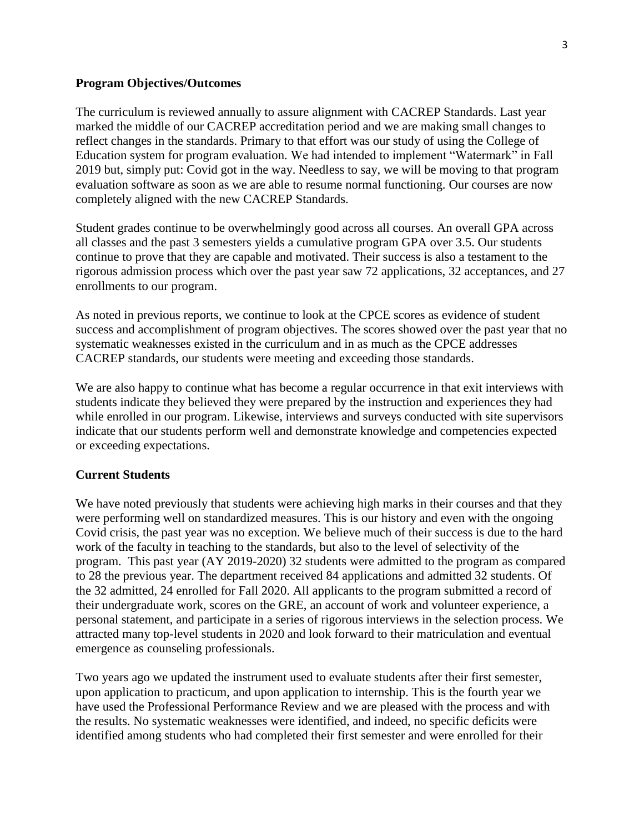#### **Program Objectives/Outcomes**

The curriculum is reviewed annually to assure alignment with CACREP Standards. Last year marked the middle of our CACREP accreditation period and we are making small changes to reflect changes in the standards. Primary to that effort was our study of using the College of Education system for program evaluation. We had intended to implement "Watermark" in Fall 2019 but, simply put: Covid got in the way. Needless to say, we will be moving to that program evaluation software as soon as we are able to resume normal functioning. Our courses are now completely aligned with the new CACREP Standards.

Student grades continue to be overwhelmingly good across all courses. An overall GPA across all classes and the past 3 semesters yields a cumulative program GPA over 3.5. Our students continue to prove that they are capable and motivated. Their success is also a testament to the rigorous admission process which over the past year saw 72 applications, 32 acceptances, and 27 enrollments to our program.

As noted in previous reports, we continue to look at the CPCE scores as evidence of student success and accomplishment of program objectives. The scores showed over the past year that no systematic weaknesses existed in the curriculum and in as much as the CPCE addresses CACREP standards, our students were meeting and exceeding those standards.

We are also happy to continue what has become a regular occurrence in that exit interviews with students indicate they believed they were prepared by the instruction and experiences they had while enrolled in our program. Likewise, interviews and surveys conducted with site supervisors indicate that our students perform well and demonstrate knowledge and competencies expected or exceeding expectations.

## **Current Students**

We have noted previously that students were achieving high marks in their courses and that they were performing well on standardized measures. This is our history and even with the ongoing Covid crisis, the past year was no exception. We believe much of their success is due to the hard work of the faculty in teaching to the standards, but also to the level of selectivity of the program. This past year (AY 2019-2020) 32 students were admitted to the program as compared to 28 the previous year. The department received 84 applications and admitted 32 students. Of the 32 admitted, 24 enrolled for Fall 2020. All applicants to the program submitted a record of their undergraduate work, scores on the GRE, an account of work and volunteer experience, a personal statement, and participate in a series of rigorous interviews in the selection process. We attracted many top-level students in 2020 and look forward to their matriculation and eventual emergence as counseling professionals.

Two years ago we updated the instrument used to evaluate students after their first semester, upon application to practicum, and upon application to internship. This is the fourth year we have used the Professional Performance Review and we are pleased with the process and with the results. No systematic weaknesses were identified, and indeed, no specific deficits were identified among students who had completed their first semester and were enrolled for their